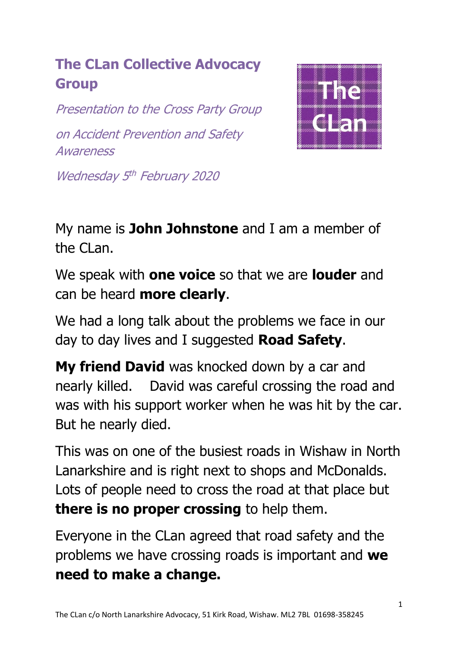## **The CLan Collective Advocacy Group**

Presentation to the Cross Party Group on Accident Prevention and Safety **Awareness** 



Wednesday 5<sup>th</sup> February 2020

My name is **John Johnstone** and I am a member of the CLan.

We speak with **one voice** so that we are **louder** and can be heard **more clearly**.

We had a long talk about the problems we face in our day to day lives and I suggested **Road Safety**.

**My friend David** was knocked down by a car and nearly killed. David was careful crossing the road and was with his support worker when he was hit by the car. But he nearly died.

This was on one of the busiest roads in Wishaw in North Lanarkshire and is right next to shops and McDonalds. Lots of people need to cross the road at that place but **there is no proper crossing** to help them.

Everyone in the CLan agreed that road safety and the problems we have crossing roads is important and **we need to make a change.**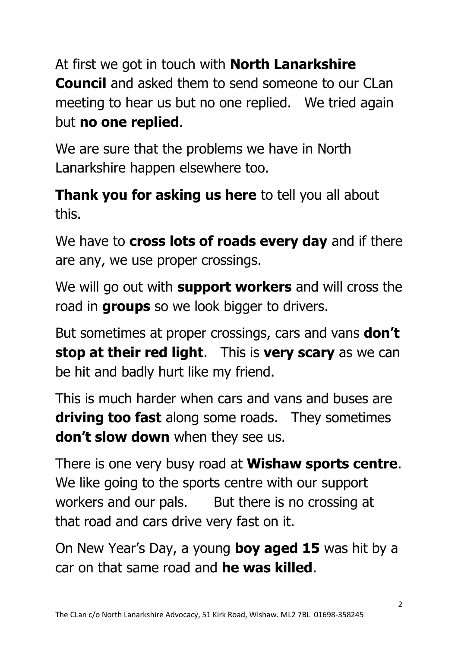At first we got in touch with **North Lanarkshire Council** and asked them to send someone to our CLan meeting to hear us but no one replied. We tried again but **no one replied**.

We are sure that the problems we have in North Lanarkshire happen elsewhere too.

**Thank you for asking us here** to tell you all about this.

We have to **cross lots of roads every day** and if there are any, we use proper crossings.

We will go out with **support workers** and will cross the road in **groups** so we look bigger to drivers.

But sometimes at proper crossings, cars and vans **don't stop at their red light**. This is **very scary** as we can be hit and badly hurt like my friend.

This is much harder when cars and vans and buses are **driving too fast** along some roads. They sometimes **don't slow down** when they see us.

There is one very busy road at **Wishaw sports centre**. We like going to the sports centre with our support workers and our pals. But there is no crossing at that road and cars drive very fast on it.

On New Year's Day, a young **boy aged 15** was hit by a car on that same road and **he was killed**.